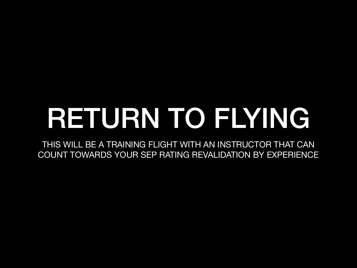# RETURN TO FLYING

THIS WILL BE A TRAINING FLIGHT WITH AN INSTRUCTOR THAT CAN COUNT TOWARDS YOUR SEP RATING REVALIDATION BY EXPERIENCE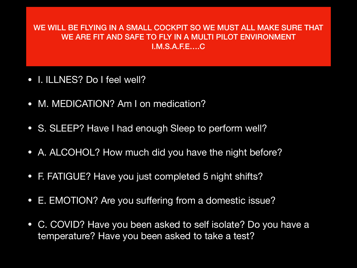#### WE WILL BE FLYING IN A SMALL COCKPIT SO WE MUST ALL MAKE SURE THAT WE ARE FIT AND SAFE TO FLY IN A MULTI PILOT ENVIRONMENT I.M.S.A.F.E….C

- I. ILLNES? Do I feel well?
- M. MEDICATION? Am I on medication?
- S. SLEEP? Have I had enough Sleep to perform well?
- A. ALCOHOL? How much did you have the night before?
- F. FATIGUE? Have you just completed 5 night shifts?
- E. EMOTION? Are you suffering from a domestic issue?
- C. COVID? Have you been asked to self isolate? Do you have a temperature? Have you been asked to take a test?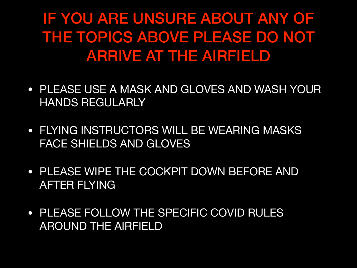IF YOU ARE UNSURE ABOUT ANY OF THE TOPICS ABOVE PLEASE DO NOT ARRIVE AT THE AIRFIELD

- PLEASE USE A MASK AND GLOVES AND WASH YOUR HANDS REGULARLY
- FLYING INSTRUCTORS WILL BE WEARING MASKS FACE SHIELDS AND GLOVES
- PLEASE WIPE THE COCKPIT DOWN BEFORE AND AFTER FLYING
- PLEASE FOLLOW THE SPECIFIC COVID RULES AROUND THE AIRFIELD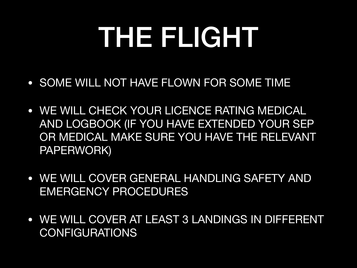# THE FLIGHT

- SOME WILL NOT HAVE FLOWN FOR SOME TIME
- WE WILL CHECK YOUR LICENCE RATING MEDICAL AND LOGBOOK (IF YOU HAVE EXTENDED YOUR SEP OR MEDICAL MAKE SURE YOU HAVE THE RELEVANT PAPERWORK)
- WE WILL COVER GENERAL HANDLING SAFETY AND EMERGENCY PROCEDURES
- WE WILL COVER AT LEAST 3 LANDINGS IN DIFFERENT **CONFIGURATIONS**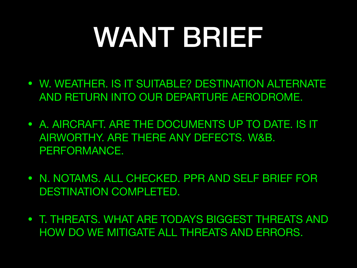# WANT BRIEF

- W. WEATHER. IS IT SUITABLE? DESTINATION ALTERNATE AND RETURN INTO OUR DEPARTURE AERODROME.
- A. AIRCRAFT. ARE THE DOCUMENTS UP TO DATE. IS IT AIRWORTHY. ARE THERE ANY DEFECTS. W&B. PERFORMANCE.
- N. NOTAMS. ALL CHECKED. PPR AND SELF BRIEF FOR DESTINATION COMPLETED.
- T. THREATS. WHAT ARE TODAYS BIGGEST THREATS AND HOW DO WE MITIGATE ALL THREATS AND ERRORS.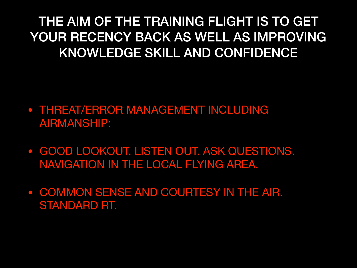THE AIM OF THE TRAINING FLIGHT IS TO GET YOUR RECENCY BACK AS WELL AS IMPROVING KNOWLEDGE SKILL AND CONFIDENCE

- THREAT/ERROR MANAGEMENT INCLUDING AIRMANSHIP:
- GOOD LOOKOUT. LISTEN OUT. ASK QUESTIONS. NAVIGATION IN THE LOCAL FLYING AREA.
- COMMON SENSE AND COURTESY IN THE AIR. STANDARD RT.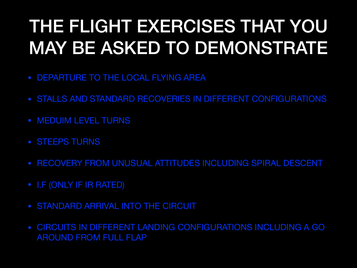#### THE FLIGHT EXERCISES THAT YOU MAY BE ASKED TO DEMONSTRATE

- DEPARTURE TO THE LOCAL FLYING AREA
- STALLS AND STANDARD RECOVERIES IN DIFFERENT CONFIGURATIONS
- MEDUIM LEVEL TURNS
- STEEPS TURNS
- RECOVERY FROM UNUSUAL ATTITUDES INCLUDING SPIRAL DESCENT
- I.F (ONLY IF IR RATED)
- STANDARD ARRIVAL INTO THE CIRCUIT
- CIRCUITS IN DIFFERENT LANDING CONFIGURATIONS INCLUDING A GO AROUND FROM FULL FLAP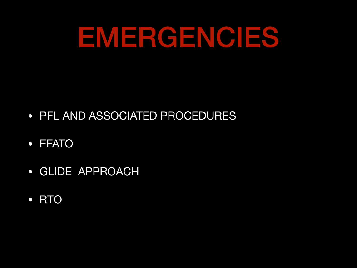### EMERGENCIES

- PFL AND ASSOCIATED PROCEDURES
- EFATO
- GLIDE APPROACH
- RTO